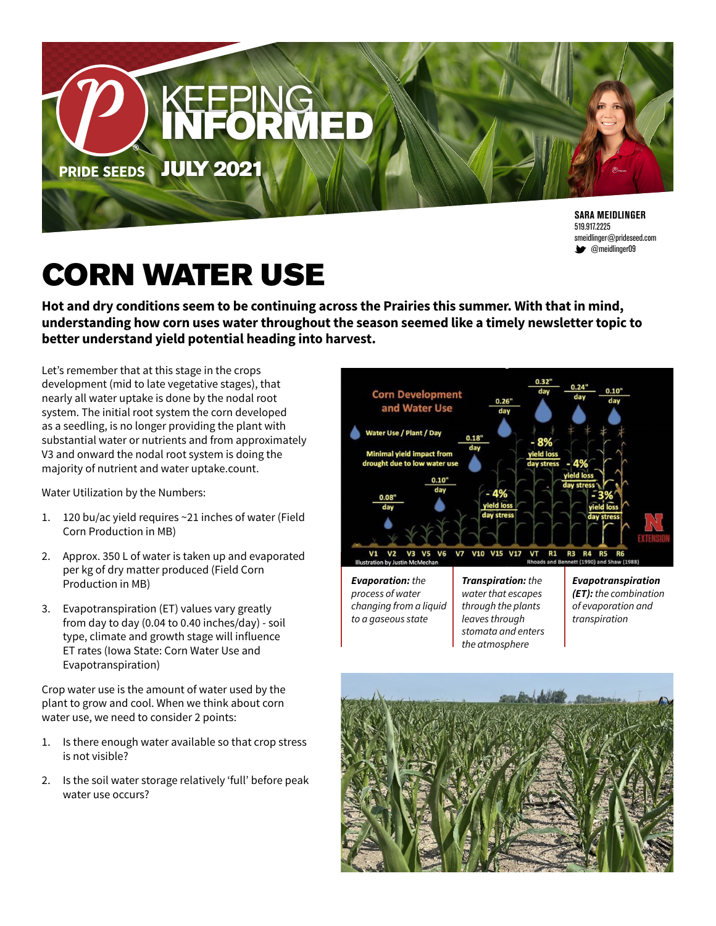

**SARA MEIDLINGER** 519.917.2225 smeidlinger@prideseed.com **@meidlinger09** 

# CORN WATER USE

**Hot and dry conditions seem to be continuing across the Prairies this summer. With that in mind, understanding how corn uses water throughout the season seemed like a timely newsletter topic to better understand yield potential heading into harvest.** 

Let's remember that at this stage in the crops development (mid to late vegetative stages), that nearly all water uptake is done by the nodal root system. The initial root system the corn developed as a seedling, is no longer providing the plant with substantial water or nutrients and from approximately V3 and onward the nodal root system is doing the majority of nutrient and water uptake.count.

Water Utilization by the Numbers:

- 1. 120 bu/ac yield requires ~21 inches of water (Field Corn Production in MB)
- 2. Approx. 350 L of water is taken up and evaporated per kg of dry matter produced (Field Corn Production in MB)
- 3. Evapotranspiration (ET) values vary greatly from day to day (0.04 to 0.40 inches/day) - soil type, climate and growth stage will influence ET rates (Iowa State: Corn Water Use and Evapotranspiration)

Crop water use is the amount of water used by the plant to grow and cool. When we think about corn water use, we need to consider 2 points:

- 1. Is there enough water available so that crop stress is not visible?
- 2. Is the soil water storage relatively 'full' before peak water use occurs?



*Evaporation: the process of water changing from a liquid to a gaseous state*

*Transpiration: the water that escapes through the plants leaves through stomata and enters the atmosphere*

*Evapotranspiration (ET): the combination of evaporation and transpiration*